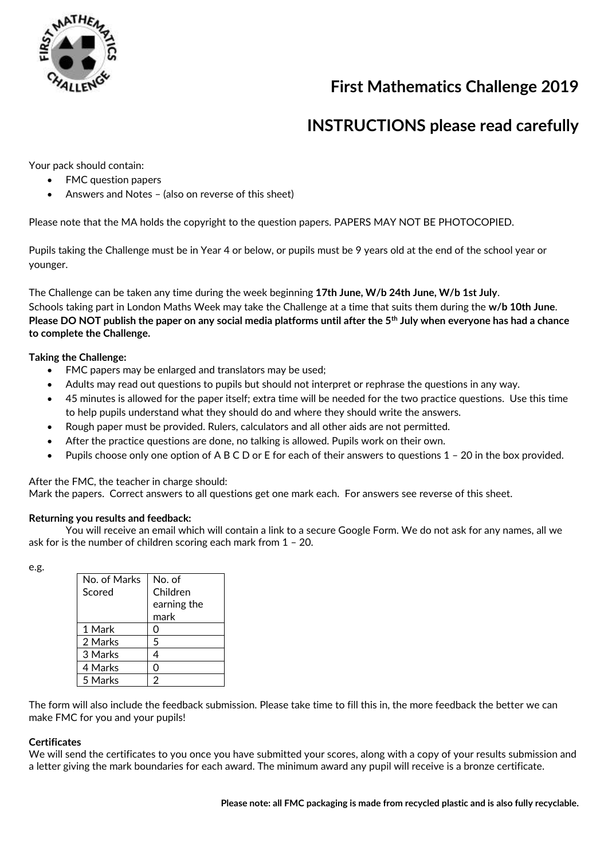

## **First Mathematics Challenge 2019**

## **INSTRUCTIONS please read carefully**

Your pack should contain:

- FMC question papers
- Answers and Notes (also on reverse of this sheet)

Please note that the MA holds the copyright to the question papers. PAPERS MAY NOT BE PHOTOCOPIED.

Pupils taking the Challenge must be in Year 4 or below, or pupils must be 9 years old at the end of the school year or younger.

The Challenge can be taken any time during the week beginning **17th June, W/b 24th June, W/b 1st July**. Schools taking part in London Maths Week may take the Challenge at a time that suits them during the **w/b 10th June**. **Please DO NOT publish the paper on any social media platforms until after the 5th July when everyone has had a chance to complete the Challenge.**

### **Taking the Challenge:**

- FMC papers may be enlarged and translators may be used;
- Adults may read out questions to pupils but should not interpret or rephrase the questions in any way.
- 45 minutes is allowed for the paper itself; extra time will be needed for the two practice questions. Use this time to help pupils understand what they should do and where they should write the answers.
- Rough paper must be provided. Rulers, calculators and all other aids are not permitted.
- After the practice questions are done, no talking is allowed. Pupils work on their own.
- Pupils choose only one option of A B C D or E for each of their answers to questions 1 20 in the box provided.

After the FMC, the teacher in charge should:

Mark the papers. Correct answers to all questions get one mark each. For answers see reverse of this sheet.

#### **Returning you results and feedback:**

You will receive an email which will contain a link to a secure Google Form. We do not ask for any names, all we ask for is the number of children scoring each mark from 1 – 20.

e.g.

| No. of Marks | No. of      |  |
|--------------|-------------|--|
| Scored       | Children    |  |
|              | earning the |  |
|              | mark        |  |
| 1 Mark       | O           |  |
| 2 Marks      | 5           |  |
| 3 Marks      | 4           |  |
| 4 Marks      | Ω           |  |
| 5 Marks      | 2           |  |

The form will also include the feedback submission. Please take time to fill this in, the more feedback the better we can make FMC for you and your pupils!

#### **Certificates**

We will send the certificates to you once you have submitted your scores, along with a copy of your results submission and a letter giving the mark boundaries for each award. The minimum award any pupil will receive is a bronze certificate.